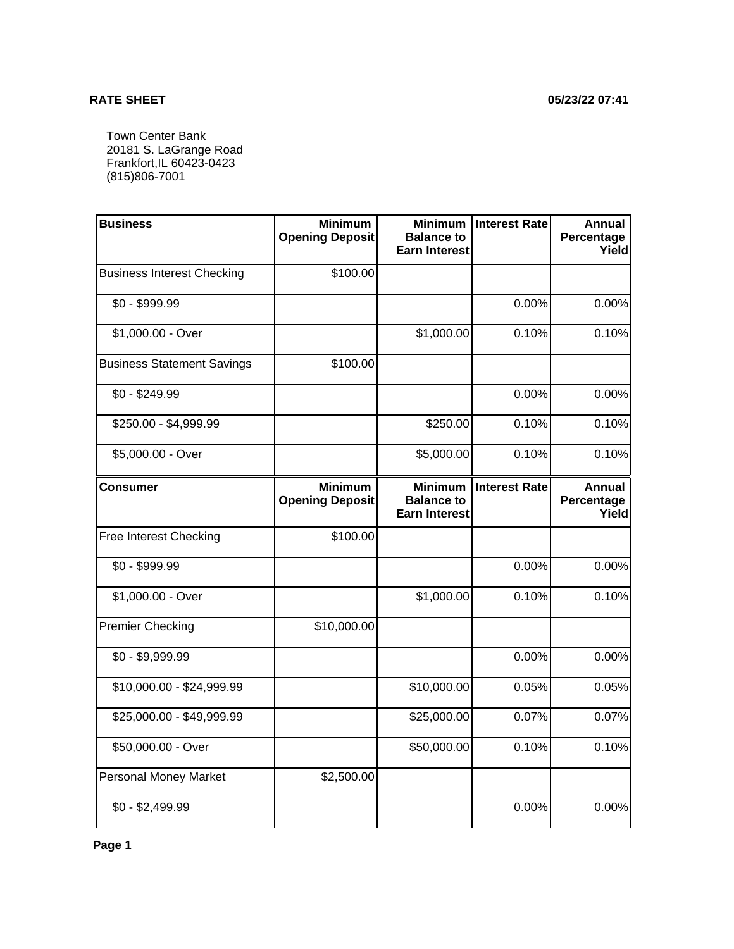## **RATE SHEET 05/23/22 07:41**

Town Center Bank 20181 S. LaGrange Road Frankfort,IL 60423-0423 (815)806-7001

| <b>Business</b>                   | <b>Minimum</b><br><b>Opening Deposit</b> | <b>Minimum</b><br><b>Balance to</b><br><b>Earn Interest</b> | <b>Interest Rate</b> | <b>Annual</b><br>Percentage<br>Yield |
|-----------------------------------|------------------------------------------|-------------------------------------------------------------|----------------------|--------------------------------------|
| <b>Business Interest Checking</b> | \$100.00                                 |                                                             |                      |                                      |
| \$0 - \$999.99                    |                                          |                                                             | 0.00%                | 0.00%                                |
| \$1,000.00 - Over                 |                                          | \$1,000.00                                                  | 0.10%                | 0.10%                                |
| <b>Business Statement Savings</b> | \$100.00                                 |                                                             |                      |                                      |
| $$0 - $249.99$                    |                                          |                                                             | 0.00%                | 0.00%                                |
| \$250.00 - \$4,999.99             |                                          | \$250.00                                                    | 0.10%                | 0.10%                                |
| \$5,000.00 - Over                 |                                          | \$5,000.00                                                  | 0.10%                | 0.10%                                |
| <b>Consumer</b>                   | <b>Minimum</b><br><b>Opening Deposit</b> | <b>Minimum</b><br><b>Balance to</b><br><b>Earn Interest</b> | <b>Interest Rate</b> | <b>Annual</b><br>Percentage<br>Yield |
| Free Interest Checking            | \$100.00                                 |                                                             |                      |                                      |
| $$0 - $999.99$                    |                                          |                                                             | 0.00%                | 0.00%                                |
| \$1,000.00 - Over                 |                                          | \$1,000.00                                                  | 0.10%                | 0.10%                                |
| <b>Premier Checking</b>           | \$10,000.00                              |                                                             |                      |                                      |
| $$0 - $9,999.99$                  |                                          |                                                             | 0.00%                | 0.00%                                |
| \$10,000.00 - \$24,999.99         |                                          | \$10,000.00                                                 | 0.05%                | 0.05%                                |
| \$25,000.00 - \$49,999.99         |                                          | \$25,000.00                                                 | 0.07%                | 0.07%                                |
| \$50,000.00 - Over                |                                          | \$50,000.00                                                 | 0.10%                | 0.10%                                |
| <b>Personal Money Market</b>      | \$2,500.00                               |                                                             |                      |                                      |
| $$0 - $2,499.99$                  |                                          |                                                             | 0.00%                | 0.00%                                |

**Page 1**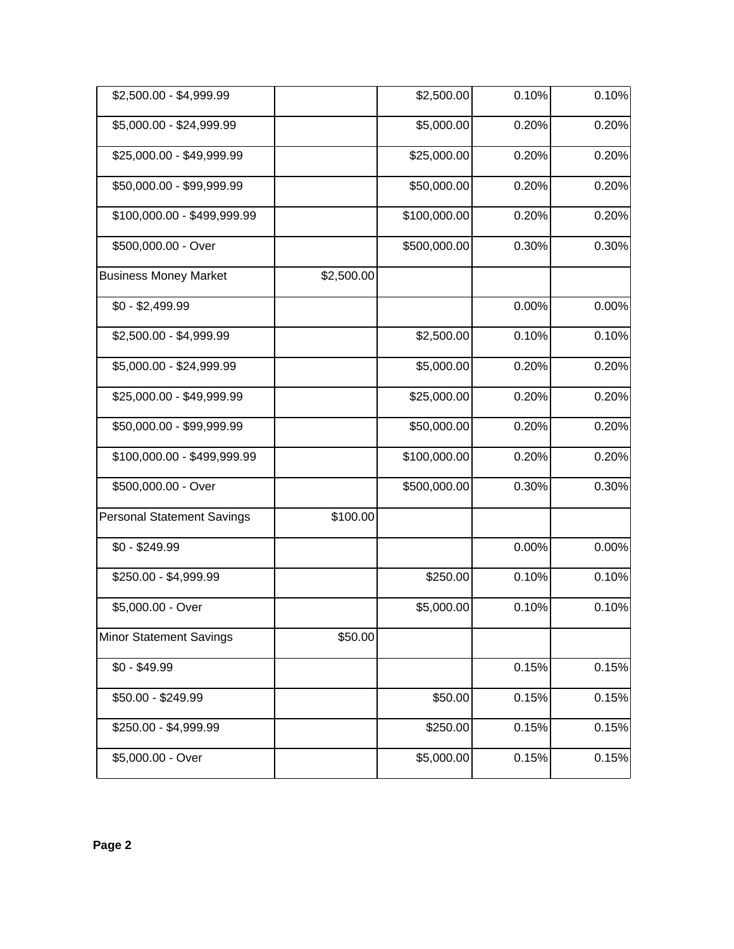| \$2,500.00 - \$4,999.99           |            | \$2,500.00   | 0.10% | 0.10%    |
|-----------------------------------|------------|--------------|-------|----------|
| \$5,000.00 - \$24,999.99          |            | \$5,000.00   | 0.20% | 0.20%    |
| \$25,000.00 - \$49,999.99         |            | \$25,000.00  | 0.20% | 0.20%    |
| \$50,000.00 - \$99,999.99         |            | \$50,000.00  | 0.20% | 0.20%    |
| \$100,000.00 - \$499,999.99       |            | \$100,000.00 | 0.20% | 0.20%    |
| \$500,000.00 - Over               |            | \$500,000.00 | 0.30% | 0.30%    |
| <b>Business Money Market</b>      | \$2,500.00 |              |       |          |
| $$0 - $2,499.99$                  |            |              | 0.00% | $0.00\%$ |
| \$2,500.00 - \$4,999.99           |            | \$2,500.00   | 0.10% | 0.10%    |
| \$5,000.00 - \$24,999.99          |            | \$5,000.00   | 0.20% | 0.20%    |
| \$25,000.00 - \$49,999.99         |            | \$25,000.00  | 0.20% | 0.20%    |
| \$50,000.00 - \$99,999.99         |            | \$50,000.00  | 0.20% | 0.20%    |
| \$100,000.00 - \$499,999.99       |            | \$100,000.00 | 0.20% | 0.20%    |
| \$500,000.00 - Over               |            | \$500,000.00 | 0.30% | 0.30%    |
| <b>Personal Statement Savings</b> | \$100.00   |              |       |          |
| $$0 - $249.99$                    |            |              | 0.00% | 0.00%    |
| \$250.00 - \$4,999.99             |            | \$250.00     | 0.10% | 0.10%    |
| \$5,000.00 - Over                 |            | \$5,000.00   | 0.10% | 0.10%    |
| Minor Statement Savings           | \$50.00    |              |       |          |
| $$0 - $49.99$                     |            |              | 0.15% | 0.15%    |
| \$50.00 - \$249.99                |            | \$50.00      | 0.15% | 0.15%    |
| \$250.00 - \$4,999.99             |            | \$250.00     | 0.15% | 0.15%    |
| \$5,000.00 - Over                 |            | \$5,000.00   | 0.15% | 0.15%    |